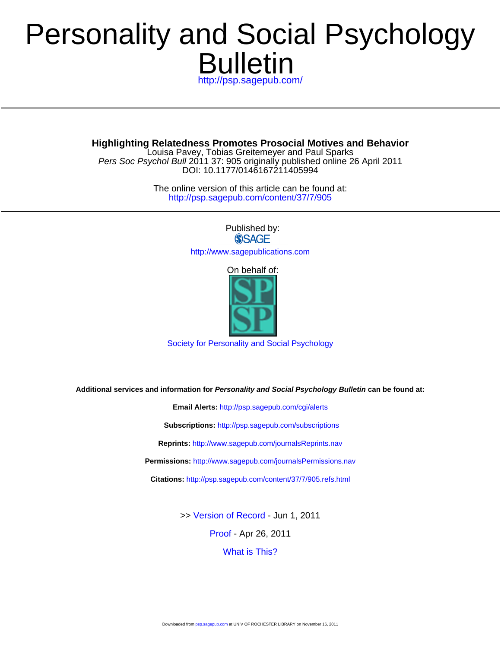# Bulletin Personality and Social Psychology

<http://psp.sagepub.com/>

DOI: 10.1177/0146167211405994 Pers Soc Psychol Bull 2011 37: 905 originally published online 26 April 2011 Louisa Pavey, Tobias Greitemeyer and Paul Sparks **Highlighting Relatedness Promotes Prosocial Motives and Behavior**

> <http://psp.sagepub.com/content/37/7/905> The online version of this article can be found at:

> > Published by:<br>
> > SAGE <http://www.sagepublications.com>

> > > On behalf of:



[Society for Personality and Social Psychology](http://www.spsp.org/)

**Additional services and information for Personality and Social Psychology Bulletin can be found at:**

**Email Alerts:** <http://psp.sagepub.com/cgi/alerts> **Subscriptions:** <http://psp.sagepub.com/subscriptions> **Reprints:** <http://www.sagepub.com/journalsReprints.nav>

**Permissions:** <http://www.sagepub.com/journalsPermissions.nav>

**Citations:** <http://psp.sagepub.com/content/37/7/905.refs.html>

>> [Version of Record -](http://psp.sagepub.com/content/37/7/905.full.pdf) Jun 1, 2011

[Proof -](http://psp.sagepub.com/content/early/2011/04/26/0146167211405994.full.pdf) Apr 26, 2011

[What is This?](http://online.sagepub.com/site/sphelp/vorhelp.xhtml)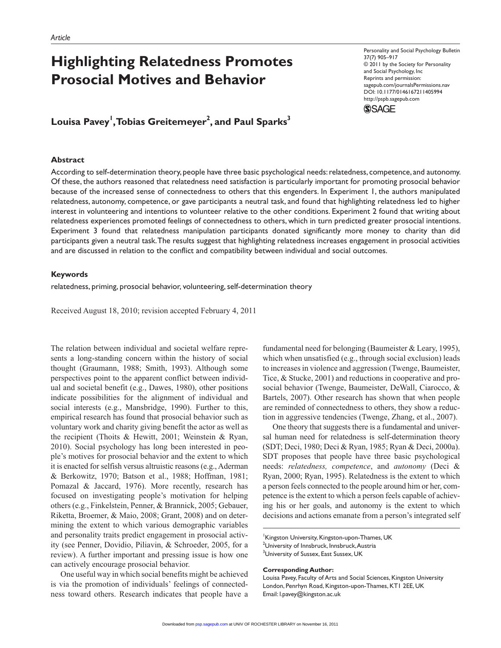## **Highlighting Relatedness Promotes Prosocial Motives and Behavior**

Personality and Social Psychology Bulletin 37(7) 905–917 © 2011 by the Society for Personality and Social Psychology, Inc Reprints and permission: sagepub.com/journalsPermissions.nav DOI: 10.1177/0146167211405994 http://pspb.sagepub.com



 $\mathsf{Louisa\; Paves}^{\mathsf{I}}, \mathsf{Tobias\; Greitemeyer}^{\mathsf{2}}, \mathsf{and\; Paul\,Sparks}^{\mathsf{3}}$ 

## **Abstract**

According to self-determination theory, people have three basic psychological needs: relatedness, competence, and autonomy. Of these, the authors reasoned that relatedness need satisfaction is particularly important for promoting prosocial behavior because of the increased sense of connectedness to others that this engenders. In Experiment 1, the authors manipulated relatedness, autonomy, competence, or gave participants a neutral task, and found that highlighting relatedness led to higher interest in volunteering and intentions to volunteer relative to the other conditions. Experiment 2 found that writing about relatedness experiences promoted feelings of connectedness to others, which in turn predicted greater prosocial intentions. Experiment 3 found that relatedness manipulation participants donated significantly more money to charity than did participants given a neutral task. The results suggest that highlighting relatedness increases engagement in prosocial activities and are discussed in relation to the conflict and compatibility between individual and social outcomes.

## **Keywords**

relatedness, priming, prosocial behavior, volunteering, self-determination theory

Received August 18, 2010; revision accepted February 4, 2011

The relation between individual and societal welfare represents a long-standing concern within the history of social thought (Graumann, 1988; Smith, 1993). Although some perspectives point to the apparent conflict between individual and societal benefit (e.g., Dawes, 1980), other positions indicate possibilities for the alignment of individual and social interests (e.g., Mansbridge, 1990). Further to this, empirical research has found that prosocial behavior such as voluntary work and charity giving benefit the actor as well as the recipient (Thoits & Hewitt, 2001; Weinstein & Ryan, 2010). Social psychology has long been interested in people's motives for prosocial behavior and the extent to which it is enacted for selfish versus altruistic reasons (e.g., Aderman & Berkowitz, 1970; Batson et al., 1988; Hoffman, 1981; Pomazal & Jaccard, 1976). More recently, research has focused on investigating people's motivation for helping others (e.g., Finkelstein, Penner, & Brannick, 2005; Gebauer, Riketta, Broemer, & Maio, 2008; Grant, 2008) and on determining the extent to which various demographic variables and personality traits predict engagement in prosocial activity (see Penner, Dovidio, Piliavin, & Schroeder, 2005, for a review). A further important and pressing issue is how one can actively encourage prosocial behavior.

One useful way in which social benefits might be achieved is via the promotion of individuals' feelings of connectedness toward others. Research indicates that people have a fundamental need for belonging (Baumeister & Leary, 1995), which when unsatisfied (e.g., through social exclusion) leads to increases in violence and aggression (Twenge, Baumeister, Tice, & Stucke, 2001) and reductions in cooperative and prosocial behavior (Twenge, Baumeister, DeWall, Ciarocco, & Bartels, 2007). Other research has shown that when people are reminded of connectedness to others, they show a reduction in aggressive tendencies (Twenge, Zhang, et al., 2007).

One theory that suggests there is a fundamental and universal human need for relatedness is self-determination theory (SDT; Deci, 1980; Deci & Ryan, 1985; Ryan & Deci, 2000a). SDT proposes that people have three basic psychological needs: *relatedness, competence*, and *autonomy* (Deci & Ryan, 2000; Ryan, 1995). Relatedness is the extent to which a person feels connected to the people around him or her, competence is the extent to which a person feels capable of achieving his or her goals, and autonomy is the extent to which decisions and actions emanate from a person's integrated self

#### **Corresponding Author:**

<sup>1</sup> Kingston University, Kingston-upon-Thames, UK  $^{\rm 2}$ University of Innsbruck, Innsbruck, Austria  $^3$ University of Sussex, East Sussex, UK

Louisa Pavey, Faculty of Arts and Social Sciences, Kingston University London, Penrhyn Road, Kingston-upon-Thames, KT1 2EE, UK Email: l.pavey@kingston.ac.uk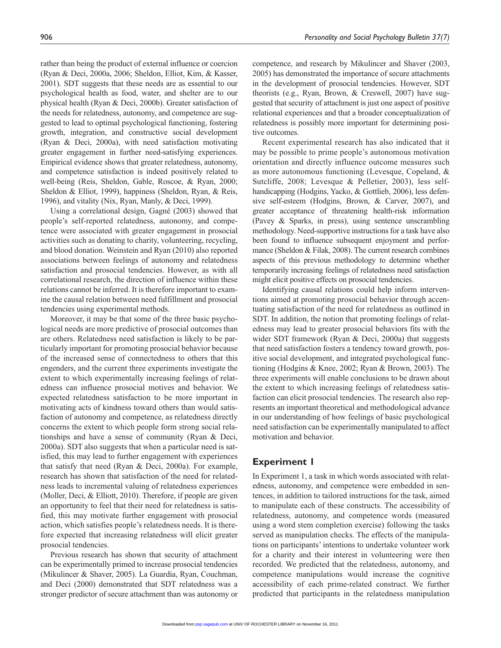rather than being the product of external influence or coercion (Ryan & Deci, 2000a, 2006; Sheldon, Elliot, Kim, & Kasser, 2001). SDT suggests that these needs are as essential to our psychological health as food, water, and shelter are to our physical health (Ryan & Deci, 2000b). Greater satisfaction of the needs for relatedness, autonomy, and competence are suggested to lead to optimal psychological functioning, fostering growth, integration, and constructive social development (Ryan & Deci, 2000a), with need satisfaction motivating greater engagement in further need-satisfying experiences. Empirical evidence shows that greater relatedness, autonomy, and competence satisfaction is indeed positively related to well-being (Reis, Sheldon, Gable, Roscoe, & Ryan, 2000; Sheldon & Elliot, 1999), happiness (Sheldon, Ryan, & Reis, 1996), and vitality (Nix, Ryan, Manly, & Deci, 1999).

Using a correlational design, Gagné (2003) showed that people's self-reported relatedness, autonomy, and competence were associated with greater engagement in prosocial activities such as donating to charity, volunteering, recycling, and blood donation. Weinstein and Ryan (2010) also reported associations between feelings of autonomy and relatedness satisfaction and prosocial tendencies. However, as with all correlational research, the direction of influence within these relations cannot be inferred. It is therefore important to examine the causal relation between need fulfillment and prosocial tendencies using experimental methods.

Moreover, it may be that some of the three basic psychological needs are more predictive of prosocial outcomes than are others. Relatedness need satisfaction is likely to be particularly important for promoting prosocial behavior because of the increased sense of connectedness to others that this engenders, and the current three experiments investigate the extent to which experimentally increasing feelings of relatedness can influence prosocial motives and behavior. We expected relatedness satisfaction to be more important in motivating acts of kindness toward others than would satisfaction of autonomy and competence, as relatedness directly concerns the extent to which people form strong social relationships and have a sense of community (Ryan & Deci, 2000a). SDT also suggests that when a particular need is satisfied, this may lead to further engagement with experiences that satisfy that need (Ryan & Deci, 2000a). For example, research has shown that satisfaction of the need for relatedness leads to incremental valuing of relatedness experiences (Moller, Deci, & Elliott, 2010). Therefore, if people are given an opportunity to feel that their need for relatedness is satisfied, this may motivate further engagement with prosocial action, which satisfies people's relatedness needs. It is therefore expected that increasing relatedness will elicit greater prosocial tendencies.

Previous research has shown that security of attachment can be experimentally primed to increase prosocial tendencies (Mikulincer & Shaver, 2005). La Guardia, Ryan, Couchman, and Deci (2000) demonstrated that SDT relatedness was a stronger predictor of secure attachment than was autonomy or competence, and research by Mikulincer and Shaver (2003, 2005) has demonstrated the importance of secure attachments in the development of prosocial tendencies. However, SDT theorists (e.g., Ryan, Brown, & Creswell, 2007) have suggested that security of attachment is just one aspect of positive relational experiences and that a broader conceptualization of relatedness is possibly more important for determining positive outcomes.

Recent experimental research has also indicated that it may be possible to prime people's autonomous motivation orientation and directly influence outcome measures such as more autonomous functioning (Levesque, Copeland, & Sutcliffe, 2008; Levesque & Pelletier, 2003), less selfhandicapping (Hodgins, Yacko, & Gottlieb, 2006), less defensive self-esteem (Hodgins, Brown, & Carver, 2007), and greater acceptance of threatening health-risk information (Pavey & Sparks, in press), using sentence unscrambling methodology. Need-supportive instructions for a task have also been found to influence subsequent enjoyment and performance (Sheldon & Filak, 2008). The current research combines aspects of this previous methodology to determine whether temporarily increasing feelings of relatedness need satisfaction might elicit positive effects on prosocial tendencies.

Identifying causal relations could help inform interventions aimed at promoting prosocial behavior through accentuating satisfaction of the need for relatedness as outlined in SDT. In addition, the notion that promoting feelings of relatedness may lead to greater prosocial behaviors fits with the wider SDT framework (Ryan & Deci, 2000a) that suggests that need satisfaction fosters a tendency toward growth, positive social development, and integrated psychological functioning (Hodgins & Knee, 2002; Ryan & Brown, 2003). The three experiments will enable conclusions to be drawn about the extent to which increasing feelings of relatedness satisfaction can elicit prosocial tendencies. The research also represents an important theoretical and methodological advance in our understanding of how feelings of basic psychological need satisfaction can be experimentally manipulated to affect motivation and behavior.

## **Experiment 1**

In Experiment 1, a task in which words associated with relatedness, autonomy, and competence were embedded in sentences, in addition to tailored instructions for the task, aimed to manipulate each of these constructs. The accessibility of relatedness, autonomy, and competence words (measured using a word stem completion exercise) following the tasks served as manipulation checks. The effects of the manipulations on participants' intentions to undertake volunteer work for a charity and their interest in volunteering were then recorded. We predicted that the relatedness, autonomy, and competence manipulations would increase the cognitive accessibility of each prime-related construct. We further predicted that participants in the relatedness manipulation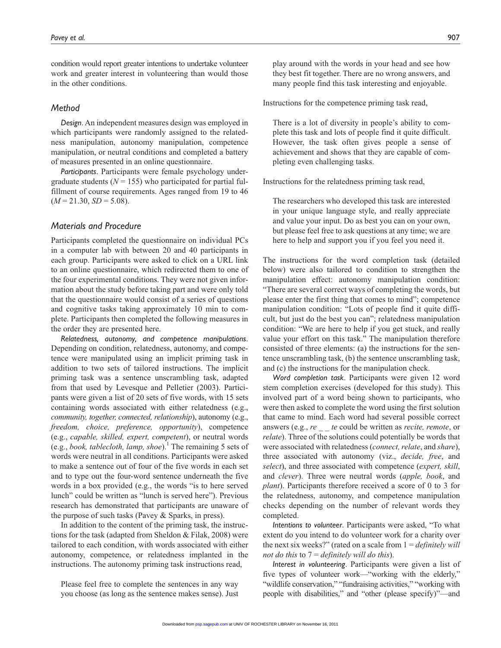condition would report greater intentions to undertake volunteer work and greater interest in volunteering than would those in the other conditions.

### *Method*

*Design*. An independent measures design was employed in which participants were randomly assigned to the relatedness manipulation, autonomy manipulation, competence manipulation, or neutral conditions and completed a battery of measures presented in an online questionnaire.

*Participants*. Participants were female psychology undergraduate students ( $N = 155$ ) who participated for partial fulfillment of course requirements. Ages ranged from 19 to 46  $(M = 21.30, SD = 5.08)$ .

#### *Materials and Procedure*

Participants completed the questionnaire on individual PCs in a computer lab with between 20 and 40 participants in each group. Participants were asked to click on a URL link to an online questionnaire, which redirected them to one of the four experimental conditions. They were not given information about the study before taking part and were only told that the questionnaire would consist of a series of questions and cognitive tasks taking approximately 10 min to complete. Participants then completed the following measures in the order they are presented here.

*Relatedness, autonomy, and competence manipulations*. Depending on condition, relatedness, autonomy, and competence were manipulated using an implicit priming task in addition to two sets of tailored instructions. The implicit priming task was a sentence unscrambling task, adapted from that used by Levesque and Pelletier (2003). Participants were given a list of 20 sets of five words, with 15 sets containing words associated with either relatedness (e.g., *community, together, connected, relationship*), autonomy (e.g., *freedom, choice, preference, opportunity*), competence (e.g., *capable, skilled, expert, competent*), or neutral words (e.g., *book, tablecloth, lamp, shoe*).<sup>1</sup> The remaining 5 sets of words were neutral in all conditions. Participants were asked to make a sentence out of four of the five words in each set and to type out the four-word sentence underneath the five words in a box provided (e.g., the words "is to here served lunch" could be written as "lunch is served here"). Previous research has demonstrated that participants are unaware of the purpose of such tasks (Pavey & Sparks, in press).

In addition to the content of the priming task, the instructions for the task (adapted from Sheldon & Filak, 2008) were tailored to each condition, with words associated with either autonomy, competence, or relatedness implanted in the instructions. The autonomy priming task instructions read,

Please feel free to complete the sentences in any way you choose (as long as the sentence makes sense). Just play around with the words in your head and see how they best fit together. There are no wrong answers, and many people find this task interesting and enjoyable.

Instructions for the competence priming task read,

There is a lot of diversity in people's ability to complete this task and lots of people find it quite difficult. However, the task often gives people a sense of achievement and shows that they are capable of completing even challenging tasks.

Instructions for the relatedness priming task read,

The researchers who developed this task are interested in your unique language style, and really appreciate and value your input. Do as best you can on your own, but please feel free to ask questions at any time; we are here to help and support you if you feel you need it.

The instructions for the word completion task (detailed below) were also tailored to condition to strengthen the manipulation effect: autonomy manipulation condition: "There are several correct ways of completing the words, but please enter the first thing that comes to mind"; competence manipulation condition: "Lots of people find it quite difficult, but just do the best you can"; relatedness manipulation condition: "We are here to help if you get stuck, and really value your effort on this task." The manipulation therefore consisted of three elements: (a) the instructions for the sentence unscrambling task, (b) the sentence unscrambling task, and (c) the instructions for the manipulation check.

*Word completion task*. Participants were given 12 word stem completion exercises (developed for this study). This involved part of a word being shown to participants, who were then asked to complete the word using the first solution that came to mind. Each word had several possible correct answers (e.g., *re \_ \_ te* could be written as *recite, remote*, or *relate*). Three of the solutions could potentially be words that were associated with relatedness (*connect, relate*, and *share*), three associated with autonomy (viz., *decide, free*, and *select*), and three associated with competence (*expert, skill*, and *clever*). Three were neutral words (*apple, book*, and *plant*). Participants therefore received a score of 0 to 3 for the relatedness, autonomy, and competence manipulation checks depending on the number of relevant words they completed.

*Intentions to volunteer*. Participants were asked, "To what extent do you intend to do volunteer work for a charity over the next six weeks?" (rated on a scale from 1 = *definitely will not do this* to 7 = *definitely will do this*).

*Interest in volunteering*. Participants were given a list of five types of volunteer work—"working with the elderly," "wildlife conservation," "fundraising activities," "working with people with disabilities," and "other (please specify)"—and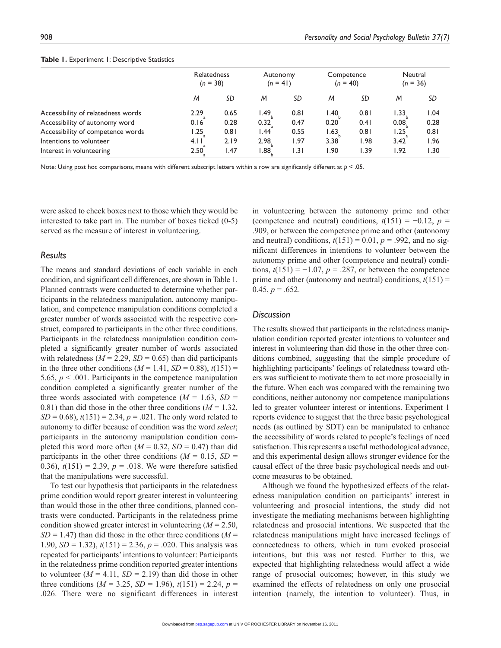|                                    | <b>Relatedness</b><br>$(n = 38)$ |      | Autonomy<br>$(n = 41)$ |      | Competence<br>$(n = 40)$ |      | Neutral<br>$(n = 36)$ |      |
|------------------------------------|----------------------------------|------|------------------------|------|--------------------------|------|-----------------------|------|
|                                    | M                                | SD   | M                      | SD   | M                        | SD   | M                     | SD   |
| Accessibility of relatedness words | 2.29                             | 0.65 | l.49                   | 0.81 | .40                      | 0.81 | I.33                  | 1.04 |
| Accessibility of autonomy word     | 0.16                             | 0.28 | 0.32                   | 0.47 | 0.20                     | 0.41 | 0.08                  | 0.28 |
| Accessibility of competence words  | 1.25                             | 0.81 | 1.44                   | 0.55 | 1.63                     | 0.81 | l.25                  | 0.81 |
| Intentions to volunteer            | 4.11                             | 2.19 | 2.98                   | 1.97 | 3.38                     | 1.98 | 3.42                  | 1.96 |
| Interest in volunteering           | 2.50                             | 1.47 | .88                    | 1.31 | 90.ا                     | 1.39 | 1.92                  | 1.30 |

#### **Table 1.** Experiment 1: Descriptive Statistics

Note: Using post hoc comparisons, means with different subscript letters within a row are significantly different at *p* < .05.

were asked to check boxes next to those which they would be interested to take part in. The number of boxes ticked (0-5) served as the measure of interest in volunteering.

## *Results*

The means and standard deviations of each variable in each condition, and significant cell differences, are shown in Table 1. Planned contrasts were conducted to determine whether participants in the relatedness manipulation, autonomy manipulation, and competence manipulation conditions completed a greater number of words associated with the respective construct, compared to participants in the other three conditions. Participants in the relatedness manipulation condition completed a significantly greater number of words associated with relatedness  $(M = 2.29, SD = 0.65)$  than did participants in the three other conditions  $(M = 1.41, SD = 0.88)$ ,  $t(151) =$ 5.65, *p* < .001. Participants in the competence manipulation condition completed a significantly greater number of the three words associated with competence  $(M = 1.63, SD =$ 0.81) than did those in the other three conditions  $(M = 1.32)$ ,  $SD = 0.68$ ,  $t(151) = 2.34$ ,  $p = .021$ . The only word related to autonomy to differ because of condition was the word *select*; participants in the autonomy manipulation condition completed this word more often  $(M = 0.32, SD = 0.47)$  than did participants in the other three conditions ( $M = 0.15$ ,  $SD =$ 0.36),  $t(151) = 2.39$ ,  $p = .018$ . We were therefore satisfied that the manipulations were successful.

To test our hypothesis that participants in the relatedness prime condition would report greater interest in volunteering than would those in the other three conditions, planned contrasts were conducted. Participants in the relatedness prime condition showed greater interest in volunteering (*M* = 2.50,  $SD = 1.47$ ) than did those in the other three conditions ( $M =$ 1.90, *SD* = 1.32), *t*(151) = 2.36, *p* = .020. This analysis was repeated for participants' intentions to volunteer: Participants in the relatedness prime condition reported greater intentions to volunteer  $(M = 4.11, SD = 2.19)$  than did those in other three conditions ( $M = 3.25$ ,  $SD = 1.96$ ),  $t(151) = 2.24$ ,  $p =$ .026. There were no significant differences in interest in volunteering between the autonomy prime and other (competence and neutral) conditions,  $t(151) = -0.12$ ,  $p =$ .909, or between the competence prime and other (autonomy and neutral) conditions,  $t(151) = 0.01$ ,  $p = .992$ , and no significant differences in intentions to volunteer between the autonomy prime and other (competence and neutral) conditions,  $t(151) = -1.07$ ,  $p = .287$ , or between the competence prime and other (autonomy and neutral) conditions,  $t(151) =$ 0.45,  $p = .652$ .

#### *Discussion*

The results showed that participants in the relatedness manipulation condition reported greater intentions to volunteer and interest in volunteering than did those in the other three conditions combined, suggesting that the simple procedure of highlighting participants' feelings of relatedness toward others was sufficient to motivate them to act more prosocially in the future. When each was compared with the remaining two conditions, neither autonomy nor competence manipulations led to greater volunteer interest or intentions. Experiment 1 reports evidence to suggest that the three basic psychological needs (as outlined by SDT) can be manipulated to enhance the accessibility of words related to people's feelings of need satisfaction. This represents a useful methodological advance, and this experimental design allows stronger evidence for the causal effect of the three basic psychological needs and outcome measures to be obtained.

Although we found the hypothesized effects of the relatedness manipulation condition on participants' interest in volunteering and prosocial intentions, the study did not investigate the mediating mechanisms between highlighting relatedness and prosocial intentions. We suspected that the relatedness manipulations might have increased feelings of connectedness to others, which in turn evoked prosocial intentions, but this was not tested. Further to this, we expected that highlighting relatedness would affect a wide range of prosocial outcomes; however, in this study we examined the effects of relatedness on only one prosocial intention (namely, the intention to volunteer). Thus, in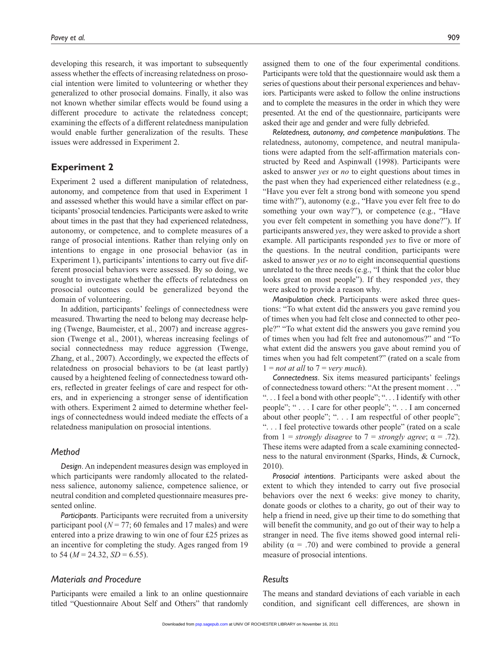developing this research, it was important to subsequently assess whether the effects of increasing relatedness on prosocial intention were limited to volunteering or whether they generalized to other prosocial domains. Finally, it also was not known whether similar effects would be found using a different procedure to activate the relatedness concept; examining the effects of a different relatedness manipulation would enable further generalization of the results. These issues were addressed in Experiment 2.

## **Experiment 2**

Experiment 2 used a different manipulation of relatedness, autonomy, and competence from that used in Experiment 1 and assessed whether this would have a similar effect on participants' prosocial tendencies. Participants were asked to write about times in the past that they had experienced relatedness, autonomy, or competence, and to complete measures of a range of prosocial intentions. Rather than relying only on intentions to engage in one prosocial behavior (as in Experiment 1), participants' intentions to carry out five different prosocial behaviors were assessed. By so doing, we sought to investigate whether the effects of relatedness on prosocial outcomes could be generalized beyond the domain of volunteering.

In addition, participants' feelings of connectedness were measured. Thwarting the need to belong may decrease helping (Twenge, Baumeister, et al., 2007) and increase aggression (Twenge et al., 2001), whereas increasing feelings of social connectedness may reduce aggression (Twenge, Zhang, et al., 2007). Accordingly, we expected the effects of relatedness on prosocial behaviors to be (at least partly) caused by a heightened feeling of connectedness toward others, reflected in greater feelings of care and respect for others, and in experiencing a stronger sense of identification with others. Experiment 2 aimed to determine whether feelings of connectedness would indeed mediate the effects of a relatedness manipulation on prosocial intentions.

## *Method*

*Design*. An independent measures design was employed in which participants were randomly allocated to the relatedness salience, autonomy salience, competence salience, or neutral condition and completed questionnaire measures presented online.

*Participants*. Participants were recruited from a university participant pool ( $N = 77$ ; 60 females and 17 males) and were entered into a prize drawing to win one of four £25 prizes as an incentive for completing the study. Ages ranged from 19 to 54 ( $M = 24.32$ ,  $SD = 6.55$ ).

## *Materials and Procedure*

Participants were emailed a link to an online questionnaire titled "Questionnaire About Self and Others" that randomly

assigned them to one of the four experimental conditions. Participants were told that the questionnaire would ask them a series of questions about their personal experiences and behaviors. Participants were asked to follow the online instructions and to complete the measures in the order in which they were presented. At the end of the questionnaire, participants were asked their age and gender and were fully debriefed.

*Relatedness, autonomy, and competence manipulations*. The relatedness, autonomy, competence, and neutral manipulations were adapted from the self-affirmation materials constructed by Reed and Aspinwall (1998). Participants were asked to answer *yes* or *no* to eight questions about times in the past when they had experienced either relatedness (e.g., "Have you ever felt a strong bond with someone you spend time with?"), autonomy (e.g., "Have you ever felt free to do something your own way?"), or competence (e.g., "Have you ever felt competent in something you have done?"). If participants answered *yes*, they were asked to provide a short example. All participants responded *yes* to five or more of the questions. In the neutral condition, participants were asked to answer *yes* or *no* to eight inconsequential questions unrelated to the three needs (e.g., "I think that the color blue looks great on most people"). If they responded *yes*, they were asked to provide a reason why.

*Manipulation check*. Participants were asked three questions: "To what extent did the answers you gave remind you of times when you had felt close and connected to other people?" "To what extent did the answers you gave remind you of times when you had felt free and autonomous?" and "To what extent did the answers you gave about remind you of times when you had felt competent?" (rated on a scale from  $1 = not$  *at all* to  $7 = very$  *much*).

*Connectedness*. Six items measured participants' feelings of connectedness toward others: "At the present moment . . ." ". . . I feel a bond with other people"; ". . . I identify with other people"; " . . . I care for other people"; ". . . I am concerned about other people"; ". . . I am respectful of other people"; ". . . I feel protective towards other people" (rated on a scale from  $1 =$  *strongly disagree* to  $7 =$  *strongly agree*;  $\alpha = .72$ ). These items were adapted from a scale examining connectedness to the natural environment (Sparks, Hinds, & Curnock, 2010).

*Prosocial intentions*. Participants were asked about the extent to which they intended to carry out five prosocial behaviors over the next 6 weeks: give money to charity, donate goods or clothes to a charity, go out of their way to help a friend in need, give up their time to do something that will benefit the community, and go out of their way to help a stranger in need. The five items showed good internal reliability ( $\alpha = .70$ ) and were combined to provide a general measure of prosocial intentions.

## *Results*

The means and standard deviations of each variable in each condition, and significant cell differences, are shown in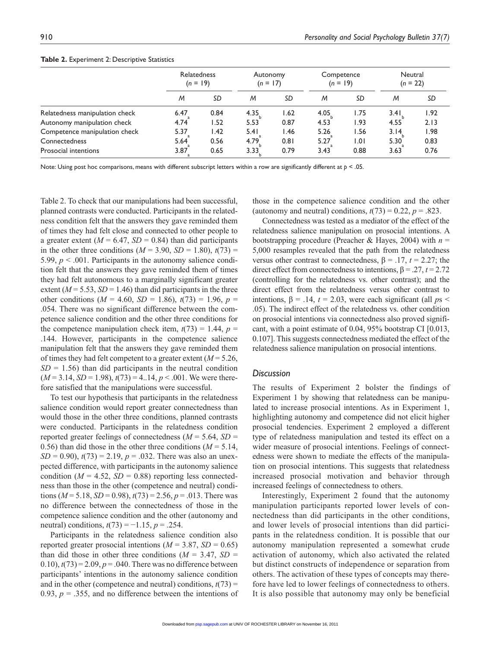|                                | <b>Relatedness</b><br>$(n = 19)$ |      | Autonomy<br>$(n = 17)$ |      | Competence<br>$(n = 19)$ |       | Neutral<br>$(n = 22)$ |      |
|--------------------------------|----------------------------------|------|------------------------|------|--------------------------|-------|-----------------------|------|
|                                | M                                | SD   | M                      | SD   | M                        | SD    | M                     | SD   |
| Relatedness manipulation check | 6.47                             | 0.84 | 4.35                   | 1.62 | 4.05                     | l.75  | 3.41                  | l.92 |
| Autonomy manipulation check    | 4.74                             | 1.52 | 5.53                   | 0.87 | 4.53                     | l.93  | 4.55                  | 2.13 |
| Competence manipulation check  | 5.37                             | 1.42 | 5.41                   | 1.46 | 5.26                     | l.56  | 3.14                  | 1.98 |
| Connectedness                  | 5.64                             | 0.56 | 4.79                   | 0.81 | 5.27                     | ا ۱.۵ | 5.30                  | 0.83 |
| Prosocial intentions           | 3.87                             | 0.65 | 3.33                   | 0.79 | 3.43                     | 0.88  | 3.63                  | 0.76 |

#### **Table 2.** Experiment 2: Descriptive Statistics

Note: Using post hoc comparisons, means with different subscript letters within a row are significantly different at *p* < .05.

Table 2. To check that our manipulations had been successful, planned contrasts were conducted. Participants in the relatedness condition felt that the answers they gave reminded them of times they had felt close and connected to other people to a greater extent  $(M = 6.47, SD = 0.84)$  than did participants in the other three conditions  $(M = 3.90, SD = 1.80)$ ,  $t(73) =$ 5.99,  $p < .001$ . Participants in the autonomy salience condition felt that the answers they gave reminded them of times they had felt autonomous to a marginally significant greater extent ( $M = 5.53$ ,  $SD = 1.46$ ) than did participants in the three other conditions ( $M = 4.60$ ,  $SD = 1.86$ ),  $t(73) = 1.96$ ,  $p =$ .054. There was no significant difference between the competence salience condition and the other three conditions for the competence manipulation check item,  $t(73) = 1.44$ ,  $p =$ .144. However, participants in the competence salience manipulation felt that the answers they gave reminded them of times they had felt competent to a greater extent (*M* = 5.26,  $SD = 1.56$ ) than did participants in the neutral condition  $(M = 3.14, SD = 1.98), t(73) = 4.14, p < .001$ . We were therefore satisfied that the manipulations were successful.

To test our hypothesis that participants in the relatedness salience condition would report greater connectedness than would those in the other three conditions, planned contrasts were conducted. Participants in the relatedness condition reported greater feelings of connectedness ( $M = 5.64$ ,  $SD =$ 0.56) than did those in the other three conditions  $(M = 5.14,$  $SD = 0.90$ ,  $t(73) = 2.19$ ,  $p = .032$ . There was also an unexpected difference, with participants in the autonomy salience condition ( $M = 4.52$ ,  $SD = 0.88$ ) reporting less connectedness than those in the other (competence and neutral) conditions ( $M = 5.18$ ,  $SD = 0.98$ ),  $t(73) = 2.56$ ,  $p = .013$ . There was no difference between the connectedness of those in the competence salience condition and the other (autonomy and neutral) conditions, *t*(73) = −1.15, *p* = .254.

Participants in the relatedness salience condition also reported greater prosocial intentions ( $M = 3.87$ ,  $SD = 0.65$ ) than did those in other three conditions  $(M = 3.47, SD =$ 0.10),  $t(73) = 2.09$ ,  $p = .040$ . There was no difference between participants' intentions in the autonomy salience condition and in the other (competence and neutral) conditions,  $t(73)$  = 0.93,  $p = 0.355$ , and no difference between the intentions of those in the competence salience condition and the other (autonomy and neutral) conditions,  $t(73) = 0.22$ ,  $p = .823$ .

Connectedness was tested as a mediator of the effect of the relatedness salience manipulation on prosocial intentions. A bootstrapping procedure (Preacher & Hayes, 2004) with *n* = 5,000 resamples revealed that the path from the relatedness versus other contrast to connectedness,  $β = .17$ ,  $t = 2.27$ ; the direct effect from connectedness to intentions,  $\beta = .27$ ,  $t = 2.72$ (controlling for the relatedness vs. other contrast); and the direct effect from the relatedness versus other contrast to intentions,  $β = .14$ ,  $t = 2.03$ , were each significant (all *ps* < .05). The indirect effect of the relatedness vs. other condition on prosocial intentions via connectedness also proved significant, with a point estimate of 0.04, 95% bootstrap CI [0.013, 0.107]. This suggests connectedness mediated the effect of the relatedness salience manipulation on prosocial intentions.

## *Discussion*

The results of Experiment 2 bolster the findings of Experiment 1 by showing that relatedness can be manipulated to increase prosocial intentions. As in Experiment 1, highlighting autonomy and competence did not elicit higher prosocial tendencies. Experiment 2 employed a different type of relatedness manipulation and tested its effect on a wider measure of prosocial intentions. Feelings of connectedness were shown to mediate the effects of the manipulation on prosocial intentions. This suggests that relatedness increased prosocial motivation and behavior through increased feelings of connectedness to others.

Interestingly, Experiment 2 found that the autonomy manipulation participants reported lower levels of connectedness than did participants in the other conditions, and lower levels of prosocial intentions than did participants in the relatedness condition. It is possible that our autonomy manipulation represented a somewhat crude activation of autonomy, which also activated the related but distinct constructs of independence or separation from others. The activation of these types of concepts may therefore have led to lower feelings of connectedness to others. It is also possible that autonomy may only be beneficial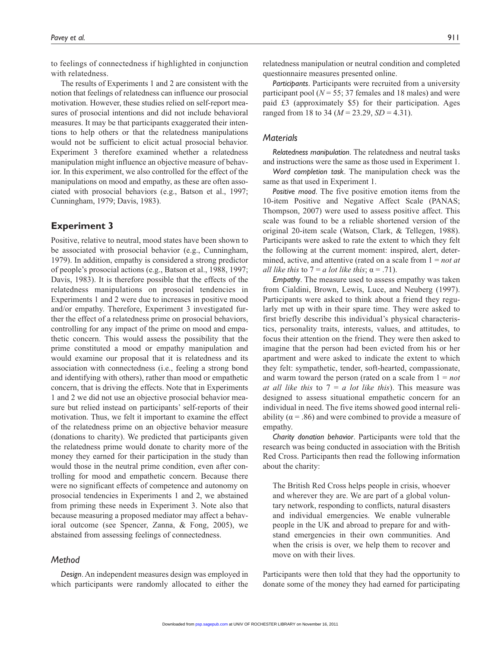to feelings of connectedness if highlighted in conjunction with relatedness.

The results of Experiments 1 and 2 are consistent with the notion that feelings of relatedness can influence our prosocial motivation. However, these studies relied on self-report measures of prosocial intentions and did not include behavioral measures. It may be that participants exaggerated their intentions to help others or that the relatedness manipulations would not be sufficient to elicit actual prosocial behavior. Experiment 3 therefore examined whether a relatedness manipulation might influence an objective measure of behavior. In this experiment, we also controlled for the effect of the manipulations on mood and empathy, as these are often associated with prosocial behaviors (e.g., Batson et al., 1997; Cunningham, 1979; Davis, 1983).

## **Experiment 3**

Positive, relative to neutral, mood states have been shown to be associated with prosocial behavior (e.g., Cunningham, 1979). In addition, empathy is considered a strong predictor of people's prosocial actions (e.g., Batson et al., 1988, 1997; Davis, 1983). It is therefore possible that the effects of the relatedness manipulations on prosocial tendencies in Experiments 1 and 2 were due to increases in positive mood and/or empathy. Therefore, Experiment 3 investigated further the effect of a relatedness prime on prosocial behaviors, controlling for any impact of the prime on mood and empathetic concern. This would assess the possibility that the prime constituted a mood or empathy manipulation and would examine our proposal that it is relatedness and its association with connectedness (i.e., feeling a strong bond and identifying with others), rather than mood or empathetic concern, that is driving the effects. Note that in Experiments 1 and 2 we did not use an objective prosocial behavior measure but relied instead on participants' self-reports of their motivation. Thus, we felt it important to examine the effect of the relatedness prime on an objective behavior measure (donations to charity). We predicted that participants given the relatedness prime would donate to charity more of the money they earned for their participation in the study than would those in the neutral prime condition, even after controlling for mood and empathetic concern. Because there were no significant effects of competence and autonomy on prosocial tendencies in Experiments 1 and 2, we abstained from priming these needs in Experiment 3. Note also that because measuring a proposed mediator may affect a behavioral outcome (see Spencer, Zanna, & Fong, 2005), we abstained from assessing feelings of connectedness.

## *Method*

*Design*. An independent measures design was employed in which participants were randomly allocated to either the relatedness manipulation or neutral condition and completed questionnaire measures presented online.

*Participants*. Participants were recruited from a university participant pool ( $N = 55$ ; 37 females and 18 males) and were paid £3 (approximately \$5) for their participation. Ages ranged from 18 to 34 ( $M = 23.29$ ,  $SD = 4.31$ ).

## *Materials*

*Relatedness manipulation*. The relatedness and neutral tasks and instructions were the same as those used in Experiment 1.

*Word completion task*. The manipulation check was the same as that used in Experiment 1.

*Positive mood*. The five positive emotion items from the 10-item Positive and Negative Affect Scale (PANAS; Thompson, 2007) were used to assess positive affect. This scale was found to be a reliable shortened version of the original 20-item scale (Watson, Clark, & Tellegen, 1988). Participants were asked to rate the extent to which they felt the following at the current moment: inspired, alert, determined, active, and attentive (rated on a scale from 1 = *not at all like this* to  $7 = a$  *lot like this*;  $\alpha = .71$ .

*Empathy*. The measure used to assess empathy was taken from Cialdini, Brown, Lewis, Luce, and Neuberg (1997). Participants were asked to think about a friend they regularly met up with in their spare time. They were asked to first briefly describe this individual's physical characteristics, personality traits, interests, values, and attitudes, to focus their attention on the friend. They were then asked to imagine that the person had been evicted from his or her apartment and were asked to indicate the extent to which they felt: sympathetic, tender, soft-hearted, compassionate, and warm toward the person (rated on a scale from 1 = *not at all like this* to 7 = *a lot like this*). This measure was designed to assess situational empathetic concern for an individual in need. The five items showed good internal reliability ( $\alpha$  = .86) and were combined to provide a measure of empathy.

*Charity donation behavior*. Participants were told that the research was being conducted in association with the British Red Cross. Participants then read the following information about the charity:

The British Red Cross helps people in crisis, whoever and wherever they are. We are part of a global voluntary network, responding to conflicts, natural disasters and individual emergencies. We enable vulnerable people in the UK and abroad to prepare for and withstand emergencies in their own communities. And when the crisis is over, we help them to recover and move on with their lives.

Participants were then told that they had the opportunity to donate some of the money they had earned for participating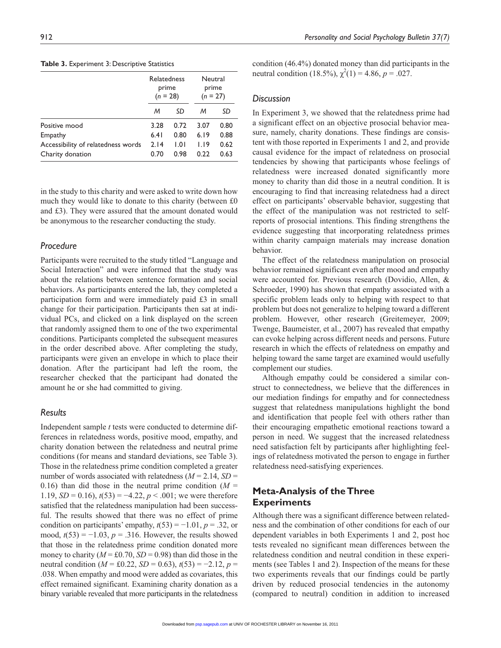|  |  | Table 3. Experiment 3: Descriptive Statistics |  |
|--|--|-----------------------------------------------|--|
|--|--|-----------------------------------------------|--|

|                                    | <b>Relatedness</b><br>prime<br>$(n = 28)$ |      | Neutral<br>prime<br>$(n = 27)$ |      |
|------------------------------------|-------------------------------------------|------|--------------------------------|------|
|                                    | M                                         | SD   | м                              | SD   |
| Positive mood                      | 3.28                                      | 0.72 | 3.07                           | 0.80 |
| Empathy                            | 6.41                                      | 0.80 | 6.19                           | 0.88 |
| Accessibility of relatedness words | 2.14                                      | 1.01 | 1.19                           | 0.62 |
| Charity donation                   | 0.70                                      | 0.98 | 0.22                           | 0.63 |

in the study to this charity and were asked to write down how much they would like to donate to this charity (between £0 and £3). They were assured that the amount donated would be anonymous to the researcher conducting the study.

## *Procedure*

Participants were recruited to the study titled "Language and Social Interaction" and were informed that the study was about the relations between sentence formation and social behaviors. As participants entered the lab, they completed a participation form and were immediately paid £3 in small change for their participation. Participants then sat at individual PCs, and clicked on a link displayed on the screen that randomly assigned them to one of the two experimental conditions. Participants completed the subsequent measures in the order described above. After completing the study, participants were given an envelope in which to place their donation. After the participant had left the room, the researcher checked that the participant had donated the amount he or she had committed to giving.

## *Results*

Independent sample *t* tests were conducted to determine differences in relatedness words, positive mood, empathy, and charity donation between the relatedness and neutral prime conditions (for means and standard deviations, see Table 3). Those in the relatedness prime condition completed a greater number of words associated with relatedness  $(M = 2.14, SD =$ 0.16) than did those in the neutral prime condition  $(M =$ 1.19, *SD* = 0.16), *t*(53) = −4.22, *p* < .001; we were therefore satisfied that the relatedness manipulation had been successful. The results showed that there was no effect of prime condition on participants' empathy,  $t(53) = -1.01$ ,  $p = .32$ , or mood,  $t(53) = -1.03$ ,  $p = .316$ . However, the results showed that those in the relatedness prime condition donated more money to charity  $(M = \text{\pounds}0.70, SD = 0.98)$  than did those in the neutral condition ( $M = \text{\pounds}0.22$ ,  $SD = 0.63$ ),  $t(53) = -2.12$ ,  $p =$ .038. When empathy and mood were added as covariates, this effect remained significant. Examining charity donation as a binary variable revealed that more participants in the relatedness condition (46.4%) donated money than did participants in the neutral condition (18.5%),  $\chi^2(1) = 4.86$ ,  $p = .027$ .

## *Discussion*

In Experiment 3, we showed that the relatedness prime had a significant effect on an objective prosocial behavior measure, namely, charity donations. These findings are consistent with those reported in Experiments 1 and 2, and provide causal evidence for the impact of relatedness on prosocial tendencies by showing that participants whose feelings of relatedness were increased donated significantly more money to charity than did those in a neutral condition. It is encouraging to find that increasing relatedness had a direct effect on participants' observable behavior, suggesting that the effect of the manipulation was not restricted to selfreports of prosocial intentions. This finding strengthens the evidence suggesting that incorporating relatedness primes within charity campaign materials may increase donation behavior.

The effect of the relatedness manipulation on prosocial behavior remained significant even after mood and empathy were accounted for. Previous research (Dovidio, Allen, & Schroeder, 1990) has shown that empathy associated with a specific problem leads only to helping with respect to that problem but does not generalize to helping toward a different problem. However, other research (Greitemeyer, 2009; Twenge, Baumeister, et al., 2007) has revealed that empathy can evoke helping across different needs and persons. Future research in which the effects of relatedness on empathy and helping toward the same target are examined would usefully complement our studies.

Although empathy could be considered a similar construct to connectedness, we believe that the differences in our mediation findings for empathy and for connectedness suggest that relatedness manipulations highlight the bond and identification that people feel with others rather than their encouraging empathetic emotional reactions toward a person in need. We suggest that the increased relatedness need satisfaction felt by participants after highlighting feelings of relatedness motivated the person to engage in further relatedness need-satisfying experiences.

## **Meta-Analysis of the Three Experiments**

Although there was a significant difference between relatedness and the combination of other conditions for each of our dependent variables in both Experiments 1 and 2, post hoc tests revealed no significant mean differences between the relatedness condition and neutral condition in these experiments (see Tables 1 and 2). Inspection of the means for these two experiments reveals that our findings could be partly driven by reduced prosocial tendencies in the autonomy (compared to neutral) condition in addition to increased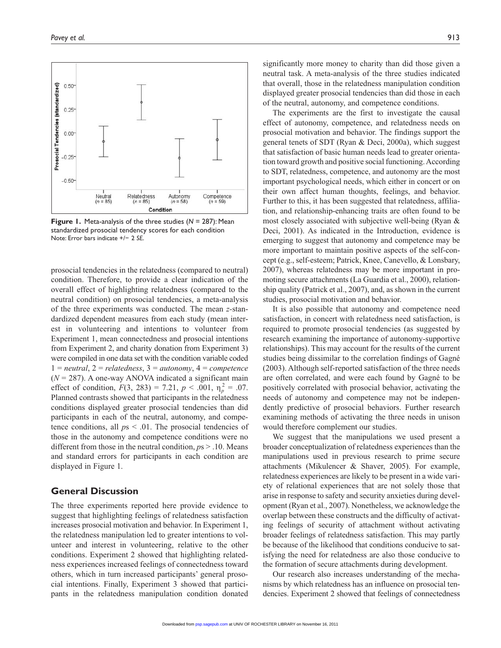

**Figure 1.** Meta-analysis of the three studies (*N* = 287): Mean standardized prosocial tendency scores for each condition Note: Error bars indicate +/− 2 *SE*.

prosocial tendencies in the relatedness (compared to neutral) condition. Therefore, to provide a clear indication of the overall effect of highlighting relatedness (compared to the neutral condition) on prosocial tendencies, a meta-analysis of the three experiments was conducted. The mean *z-*standardized dependent measures from each study (mean interest in volunteering and intentions to volunteer from Experiment 1, mean connectedness and prosocial intentions from Experiment 2, and charity donation from Experiment 3) were compiled in one data set with the condition variable coded 1 = *neutral*, 2 = *relatedness*, 3 = *autonomy*, 4 = *competence* (*N* = 287). A one-way ANOVA indicated a significant main effect of condition,  $F(3, 283) = 7.21$ ,  $p < .001$ ,  $\eta_p^2 = .07$ . Planned contrasts showed that participants in the relatedness conditions displayed greater prosocial tendencies than did participants in each of the neutral, autonomy, and competence conditions, all  $ps < .01$ . The prosocial tendencies of those in the autonomy and competence conditions were no different from those in the neutral condition, *p*s > .10. Means and standard errors for participants in each condition are displayed in Figure 1.

## **General Discussion**

The three experiments reported here provide evidence to suggest that highlighting feelings of relatedness satisfaction increases prosocial motivation and behavior. In Experiment 1, the relatedness manipulation led to greater intentions to volunteer and interest in volunteering, relative to the other conditions. Experiment 2 showed that highlighting relatedness experiences increased feelings of connectedness toward others, which in turn increased participants' general prosocial intentions. Finally, Experiment 3 showed that participants in the relatedness manipulation condition donated

significantly more money to charity than did those given a neutral task. A meta-analysis of the three studies indicated that overall, those in the relatedness manipulation condition displayed greater prosocial tendencies than did those in each of the neutral, autonomy, and competence conditions.

The experiments are the first to investigate the causal effect of autonomy, competence, and relatedness needs on prosocial motivation and behavior. The findings support the general tenets of SDT (Ryan & Deci, 2000a), which suggest that satisfaction of basic human needs lead to greater orientation toward growth and positive social functioning. According to SDT, relatedness, competence, and autonomy are the most important psychological needs, which either in concert or on their own affect human thoughts, feelings, and behavior. Further to this, it has been suggested that relatedness, affiliation, and relationship-enhancing traits are often found to be most closely associated with subjective well-being (Ryan & Deci, 2001). As indicated in the Introduction, evidence is emerging to suggest that autonomy and competence may be more important to maintain positive aspects of the self-concept (e.g., self-esteem; Patrick, Knee, Canevello, & Lonsbary, 2007), whereas relatedness may be more important in promoting secure attachments (La Guardia et al., 2000), relationship quality (Patrick et al., 2007), and, as shown in the current studies, prosocial motivation and behavior.

It is also possible that autonomy and competence need satisfaction, in concert with relatedness need satisfaction, is required to promote prosocial tendencies (as suggested by research examining the importance of autonomy-supportive relationships). This may account for the results of the current studies being dissimilar to the correlation findings of Gagné (2003). Although self-reported satisfaction of the three needs are often correlated, and were each found by Gagné to be positively correlated with prosocial behavior, activating the needs of autonomy and competence may not be independently predictive of prosocial behaviors. Further research examining methods of activating the three needs in unison would therefore complement our studies.

We suggest that the manipulations we used present a broader conceptualization of relatedness experiences than the manipulations used in previous research to prime secure attachments (Mikulencer & Shaver, 2005). For example, relatedness experiences are likely to be present in a wide variety of relational experiences that are not solely those that arise in response to safety and security anxieties during development (Ryan et al., 2007). Nonetheless, we acknowledge the overlap between these constructs and the difficulty of activating feelings of security of attachment without activating broader feelings of relatedness satisfaction. This may partly be because of the likelihood that conditions conducive to satisfying the need for relatedness are also those conducive to the formation of secure attachments during development.

Our research also increases understanding of the mechanisms by which relatedness has an influence on prosocial tendencies. Experiment 2 showed that feelings of connectedness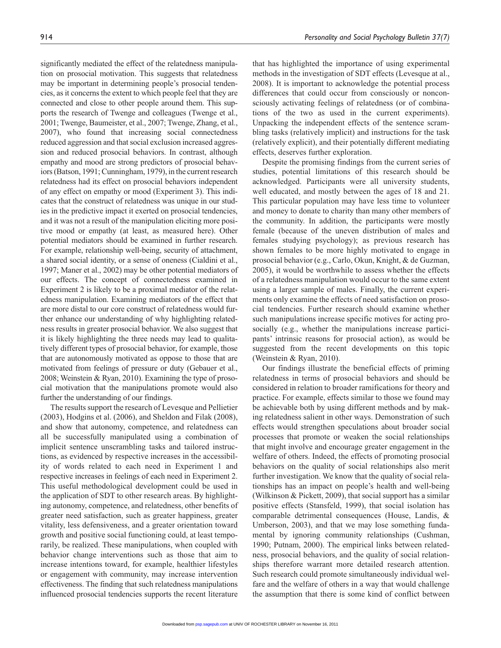significantly mediated the effect of the relatedness manipulation on prosocial motivation. This suggests that relatedness may be important in determining people's prosocial tendencies, as it concerns the extent to which people feel that they are connected and close to other people around them. This supports the research of Twenge and colleagues (Twenge et al., 2001; Twenge, Baumeister, et al., 2007; Twenge, Zhang, et al., 2007), who found that increasing social connectedness reduced aggression and that social exclusion increased aggression and reduced prosocial behaviors. In contrast, although empathy and mood are strong predictors of prosocial behaviors (Batson, 1991; Cunningham, 1979), in the current research relatedness had its effect on prosocial behaviors independent of any effect on empathy or mood (Experiment 3). This indicates that the construct of relatedness was unique in our studies in the predictive impact it exerted on prosocial tendencies, and it was not a result of the manipulation eliciting more positive mood or empathy (at least, as measured here). Other potential mediators should be examined in further research. For example, relationship well-being, security of attachment, a shared social identity, or a sense of oneness (Cialdini et al., 1997; Maner et al., 2002) may be other potential mediators of our effects. The concept of connectedness examined in Experiment 2 is likely to be a proximal mediator of the relatedness manipulation. Examining mediators of the effect that are more distal to our core construct of relatedness would further enhance our understanding of why highlighting relatedness results in greater prosocial behavior. We also suggest that it is likely highlighting the three needs may lead to qualitatively different types of prosocial behavior, for example, those that are autonomously motivated as oppose to those that are motivated from feelings of pressure or duty (Gebauer et al., 2008; Weinstein & Ryan, 2010). Examining the type of prosocial motivation that the manipulations promote would also further the understanding of our findings.

The results support the research of Levesque and Pellietier (2003), Hodgins et al. (2006), and Sheldon and Filak (2008), and show that autonomy, competence, and relatedness can all be successfully manipulated using a combination of implicit sentence unscrambling tasks and tailored instructions, as evidenced by respective increases in the accessibility of words related to each need in Experiment 1 and respective increases in feelings of each need in Experiment 2. This useful methodological development could be used in the application of SDT to other research areas. By highlighting autonomy, competence, and relatedness, other benefits of greater need satisfaction, such as greater happiness, greater vitality, less defensiveness, and a greater orientation toward growth and positive social functioning could, at least temporarily, be realized. These manipulations, when coupled with behavior change interventions such as those that aim to increase intentions toward, for example, healthier lifestyles or engagement with community, may increase intervention effectiveness. The finding that such relatedness manipulations influenced prosocial tendencies supports the recent literature that has highlighted the importance of using experimental methods in the investigation of SDT effects (Levesque at al., 2008). It is important to acknowledge the potential process differences that could occur from consciously or nonconsciously activating feelings of relatedness (or of combinations of the two as used in the current experiments). Unpacking the independent effects of the sentence scrambling tasks (relatively implicit) and instructions for the task (relatively explicit), and their potentially different mediating effects, deserves further exploration.

Despite the promising findings from the current series of studies, potential limitations of this research should be acknowledged. Participants were all university students, well educated, and mostly between the ages of 18 and 21. This particular population may have less time to volunteer and money to donate to charity than many other members of the community. In addition, the participants were mostly female (because of the uneven distribution of males and females studying psychology); as previous research has shown females to be more highly motivated to engage in prosocial behavior (e.g., Carlo, Okun, Knight, & de Guzman, 2005), it would be worthwhile to assess whether the effects of a relatedness manipulation would occur to the same extent using a larger sample of males. Finally, the current experiments only examine the effects of need satisfaction on prosocial tendencies. Further research should examine whether such manipulations increase specific motives for acting prosocially (e.g., whether the manipulations increase participants' intrinsic reasons for prosocial action), as would be suggested from the recent developments on this topic (Weinstein & Ryan, 2010).

Our findings illustrate the beneficial effects of priming relatedness in terms of prosocial behaviors and should be considered in relation to broader ramifications for theory and practice. For example, effects similar to those we found may be achievable both by using different methods and by making relatedness salient in other ways. Demonstration of such effects would strengthen speculations about broader social processes that promote or weaken the social relationships that might involve and encourage greater engagement in the welfare of others. Indeed, the effects of promoting prosocial behaviors on the quality of social relationships also merit further investigation. We know that the quality of social relationships has an impact on people's health and well-being (Wilkinson & Pickett, 2009), that social support has a similar positive effects (Stansfeld, 1999), that social isolation has comparable detrimental consequences (House, Landis, & Umberson, 2003), and that we may lose something fundamental by ignoring community relationships (Cushman, 1990; Putnam, 2000). The empirical links between relatedness, prosocial behaviors, and the quality of social relationships therefore warrant more detailed research attention. Such research could promote simultaneously individual welfare and the welfare of others in a way that would challenge the assumption that there is some kind of conflict between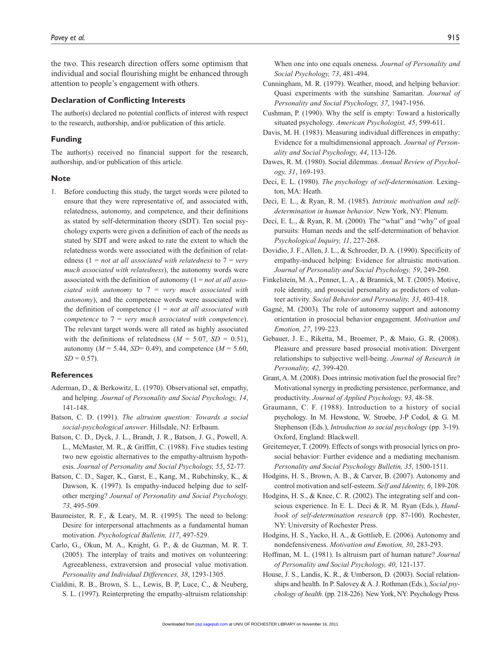the two. This research direction offers some optimism that individual and social flourishing might be enhanced through attention to people's engagement with others.

#### **Declaration of Conflicting Interests**

The author(s) declared no potential conflicts of interest with respect to the research, authorship, and/or publication of this article.

#### **Funding**

The author(s) received no financial support for the research, authorship, and/or publication of this article.

#### **Note**

1. Before conducting this study, the target words were piloted to ensure that they were representative of, and associated with, relatedness, autonomy, and competence, and their definitions as stated by self-determination theory (SDT). Ten social psychology experts were given a definition of each of the needs as stated by SDT and were asked to rate the extent to which the relatedness words were associated with the definition of relatedness (1 = *not at all associated with relatedness* to 7 = *very much associated with relatedness*), the autonomy words were associated with the definition of autonomy (1 = *not at all associated with autonomy* to 7 = *very much associated with autonomy*), and the competence words were associated with the definition of competence (1 = *not at all associated with competence* to 7 = *very much associated with competence*). The relevant target words were all rated as highly associated with the definitions of relatedness ( $M = 5.07$ ,  $SD = 0.51$ ), autonomy ( $M = 5.44$ , *SD*= 0.49), and competence ( $M = 5.60$ ,  $SD = 0.57$ ).

#### **References**

- Aderman, D., & Berkowitz, L. (1970). Observational set, empathy, and helping. *Journal of Personality and Social Psychology, 14*, 141-148.
- Batson, C. D. (1991). *The altruism question: Towards a social social-psychological answer*. Hillsdale, NJ: Erlbaum.
- Batson, C. D., Dyck, J. L., Brandt, J. R., Batson, J. G., Powell, A. L., McMaster, M. R., & Griffitt, C. (1988). Five studies testing two new egoistic alternatives to the empathy-altruism hypothesis. *Journal of Personality and Social Psychology, 55*, 52-77.
- Batson, C. D., Sager, K., Garst, E., Kang, M., Rubchinsky, K., & Dawson, K. (1997). Is empathy-induced helping due to selfother merging? *Journal of Personality and Social Psychology, 73*, 495-509.
- Baumeister, R. F., & Leary, M. R. (1995). The need to belong: Desire for interpersonal attachments as a fundamental human motivation. *Psychological Bulletin, 117*, 497-529.
- Carlo, G., Okun, M. A., Knight, G. P., & de Guzman, M. R. T. (2005). The interplay of traits and motives on volunteering: Agreeableness, extraversion and prosocial value motivation. *Personality and Individual Differences, 38*, 1293-1305.
- Cialdini, R. B., Brown, S. L., Lewis, B. P, Luce, C., & Neuberg, S. L. (1997). Reinterpreting the empathy-altruism relationship:

When one into one equals oneness. *Journal of Personality and Social Psychology, 73*, 481-494.

- Cunningham, M. R. (1979). Weather, mood, and helping behavior: Quasi experiments with the sunshine Samaritan. *Journal of Personality and Social Psychology, 37*, 1947-1956.
- Cushman, P. (1990). Why the self is empty: Toward a historically situated psychology. *American Psychologist, 45*, 599-611.
- Davis, M. H. (1983). Measuring individual differences in empathy: Evidence for a multidimensional approach. *Journal of Personality and Social Psychology, 44*, 113-126.
- Dawes, R. M. (1980). Social dilemmas. *Annual Review of Psychology, 31*, 169-193.
- Deci, E. L. (1980). *The psychology of self-determination*. Lexington, MA: Heath.
- Deci, E. L., & Ryan, R. M. (1985). *Intrinsic motivation and selfdetermination in human behavior*. New York, NY: Plenum.
- Deci, E. L., & Ryan, R. M. (2000). The "what" and "why" of goal pursuits: Human needs and the self-determination of behavior. *Psychological Inquiry, 11*, 227-268.
- Dovidio, J. F., Allen, J. L., & Schroeder, D. A. (1990). Specificity of empathy-induced helping: Evidence for altruistic motivation. *Journal of Personality and Social Psychology, 59*, 249-260.
- Finkelstein, M. A., Penner, L. A., & Brannick, M. T. (2005). Motive, role identity, and prosocial personality as predictors of volunteer activity. *Social Behavior and Personality, 33*, 403-418.
- Gagné, M. (2003). The role of autonomy support and autonomy orientation in prosocial behavior engagement. *Motivation and Emotion, 27*, 199-223.
- Gebauer, J. E., Riketta, M., Broemer, P., & Maio, G. R. (2008). Pleasure and pressure based prosocial motivation: Divergent relationships to subjective well-being. *Journal of Research in Personality, 42*, 399-420.
- Grant, A. M. (2008). Does intrinsic motivation fuel the prosocial fire? Motivational synergy in predicting persistence, performance, and productivity. *Journal of Applied Psychology, 93*, 48-58.
- Graumann, C. F. (1988). Introduction to a history of social psychology. In M. Hewstone, W. Stroebe, J-P Codol, & G. M. Stephenson (Eds.), *Introduction to social psychology* (pp. 3-19). Oxford, England: Blackwell.
- Greitemeyer, T. (2009). Effects of songs with prosocial lyrics on prosocial behavior: Further evidence and a mediating mechanism. *Personality and Social Psychology Bulletin, 35*, 1500-1511.
- Hodgins, H. S., Brown, A. B., & Carver, B. (2007). Autonomy and control motivation and self-esteem. *Self and Identity, 6*, 189-208.
- Hodgins, H. S., & Knee, C. R. (2002). The integrating self and conscious experience. In E. L. Deci & R. M. Ryan (Eds.), *Handbook of self-determination research* (pp. 87-100). Rochester, NY: University of Rochester Press.
- Hodgins, H. S., Yacko, H. A., & Gottlieb, E. (2006). Autonomy and nondefensiveness. *Motivation and Emotion, 30*, 283-293.
- Hoffman, M. L. (1981). Is altruism part of human nature? *Journal of Personality and Social Psychology, 40*, 121-137.
- House, J. S., Landis, K. R., & Umberson, D. (2003). Social relationships and health. In P. Salovey & A. J. Rothman (Eds.), *Social psychology of health*. (pp. 218-226). New York, NY: Psychology Press.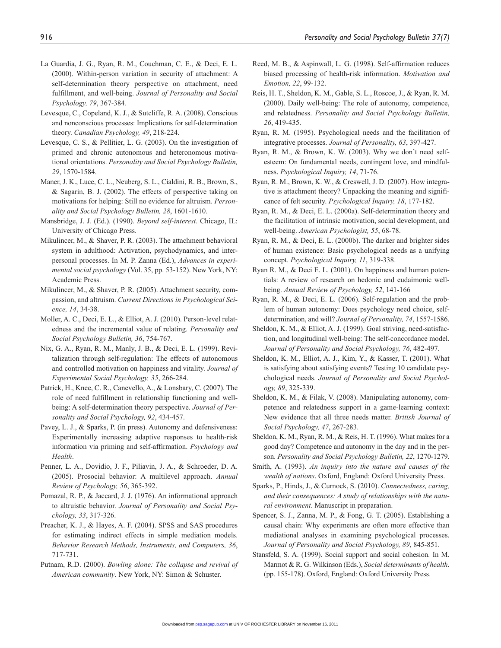- La Guardia, J. G., Ryan, R. M., Couchman, C. E., & Deci, E. L. (2000). Within-person variation in security of attachment: A self-determination theory perspective on attachment, need fulfillment, and well-being. *Journal of Personality and Social Psychology, 79*, 367-384.
- Levesque, C., Copeland, K. J., & Sutcliffe, R. A. (2008). Conscious and nonconscious processes: Implications for self-determination theory. *Canadian Psychology, 49*, 218-224.
- Levesque, C. S., & Pellitier, L. G. (2003). On the investigation of primed and chronic autonomous and heteronomous motivational orientations. *Personality and Social Psychology Bulletin, 29*, 1570-1584.
- Maner, J. K., Luce, C. L., Neuberg, S. L., Cialdini, R. B., Brown, S., & Sagarin, B. J. (2002). The effects of perspective taking on motivations for helping: Still no evidence for altruism. *Personality and Social Psychology Bulletin, 28*, 1601-1610.
- Mansbridge, J. J. (Ed.). (1990). *Beyond self-interest*. Chicago, IL: University of Chicago Press.
- Mikulincer, M., & Shaver, P. R. (2003). The attachment behavioral system in adulthood: Activation, psychodynamics, and interpersonal processes. In M. P. Zanna (Ed.), *Advances in experimental social psychology* (Vol. 35, pp. 53-152). New York, NY: Academic Press.
- Mikulincer, M., & Shaver, P. R. (2005). Attachment security, compassion, and altruism. *Current Directions in Psychological Science, 14*, 34-38.
- Moller, A. C., Deci, E. L., & Elliot, A. J. (2010). Person-level relatedness and the incremental value of relating. *Personality and Social Psychology Bulletin, 36*, 754-767.
- Nix, G. A., Ryan, R. M., Manly, J. B., & Deci, E. L. (1999). Revitalization through self-regulation: The effects of autonomous and controlled motivation on happiness and vitality. *Journal of Experimental Social Psychology, 35*, 266-284.
- Patrick, H., Knee, C. R., Canevello, A., & Lonsbary, C. (2007). The role of need fulfillment in relationship functioning and wellbeing: A self-determination theory perspective. *Journal of Personality and Social Psychology, 92*, 434-457.
- Pavey, L. J., & Sparks, P. (in press). Autonomy and defensiveness: Experimentally increasing adaptive responses to health-risk information via priming and self-affirmation. *Psychology and Health*.
- Penner, L. A., Dovidio, J. F., Piliavin, J. A., & Schroeder, D. A. (2005). Prosocial behavior: A multilevel approach. *Annual Review of Psychology, 56*, 365-392.
- Pomazal, R. P., & Jaccard, J. J. (1976). An informational approach to altruistic behavior. *Journal of Personality and Social Psychology, 33*, 317-326.
- Preacher, K. J., & Hayes, A. F. (2004). SPSS and SAS procedures for estimating indirect effects in simple mediation models. *Behavior Research Methods, Instruments, and Computers, 36*, 717-731.
- Putnam, R.D. (2000). *Bowling alone: The collapse and revival of American community*. New York, NY: Simon & Schuster.
- Reed, M. B., & Aspinwall, L. G. (1998). Self-affirmation reduces biased processing of health-risk information. *Motivation and Emotion, 22*, 99-132.
- Reis, H. T., Sheldon, K. M., Gable, S. L., Roscoe, J., & Ryan, R. M. (2000). Daily well-being: The role of autonomy, competence, and relatedness. *Personality and Social Psychology Bulletin, 26*, 419-435.
- Ryan, R. M. (1995). Psychological needs and the facilitation of integrative processes. *Journal of Personality, 63*, 397-427.
- Ryan, R. M., & Brown, K. W. (2003). Why we don't need selfesteem: On fundamental needs, contingent love, and mindfulness. *Psychological Inquiry, 14*, 71-76.
- Ryan, R. M., Brown, K. W., & Creswell, J. D. (2007). How integrative is attachment theory? Unpacking the meaning and significance of felt security. *Psychological Inquiry, 18*, 177-182.
- Ryan, R. M., & Deci, E. L. (2000a). Self-determination theory and the facilitation of intrinsic motivation, social development, and well-being. *American Psychologist, 55*, 68-78.
- Ryan, R. M., & Deci, E. L. (2000b). The darker and brighter sides of human existence: Basic psychological needs as a unifying concept. *Psychological Inquiry, 11*, 319-338.
- Ryan R. M., & Deci E. L. (2001). On happiness and human potentials: A review of research on hedonic and eudaimonic wellbeing. *Annual Review of Psychology, 52*, 141-166
- Ryan, R. M., & Deci, E. L. (2006). Self-regulation and the problem of human autonomy: Does psychology need choice, selfdetermination, and will? *Journal of Personality, 74*, 1557-1586.
- Sheldon, K. M., & Elliot, A. J. (1999). Goal striving, need-satisfaction, and longitudinal well-being: The self-concordance model. *Journal of Personality and Social Psychology, 76*, 482-497.
- Sheldon, K. M., Elliot, A. J., Kim, Y., & Kasser, T. (2001). What is satisfying about satisfying events? Testing 10 candidate psychological needs. *Journal of Personality and Social Psychology, 89*, 325-339.
- Sheldon, K. M., & Filak, V. (2008). Manipulating autonomy, competence and relatedness support in a game-learning context: New evidence that all three needs matter. *British Journal of Social Psychology, 47*, 267-283.
- Sheldon, K. M., Ryan, R. M., & Reis, H. T. (1996). What makes for a good day? Competence and autonomy in the day and in the person. *Personality and Social Psychology Bulletin, 22*, 1270-1279.
- Smith, A. (1993). *An inquiry into the nature and causes of the wealth of nations*. Oxford, England: Oxford University Press.
- Sparks, P., Hinds, J., & Curnock, S. (2010). *Connectedness, caring, and their consequences: A study of relationships with the natural environment*. Manuscript in preparation.
- Spencer, S. J., Zanna, M. P., & Fong, G. T. (2005). Establishing a causal chain: Why experiments are often more effective than mediational analyses in examining psychological processes. *Journal of Personality and Social Psychology, 89*, 845-851.
- Stansfeld, S. A. (1999). Social support and social cohesion. In M. Marmot & R. G. Wilkinson (Eds.), *Social determinants of health*. (pp. 155-178). Oxford, England: Oxford University Press.